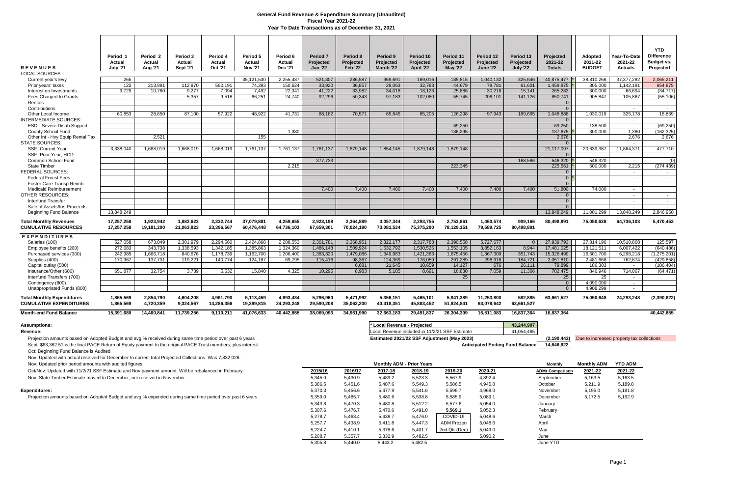Projection amounts based on Adopted Budget and avg % received during same time period over past 6 years **Estimated 2021/22 SSF Adjustment (May 2023) Extimated 2021/22 SSF Adjustment (May 2023)** (2,190,442) Due to increas Sept: \$63,362.51 is the final PACE Return of Equity payment to the original PACE Trust members, plus interest Oct: Beginning Fund Balance is Audited

| <b>REVENUES</b>                                                     | Period 1<br>Actual<br><b>July '21</b> | Period <sub>2</sub><br>Actual<br><b>Aug '21</b> | Period 3<br>Actual<br><b>Sept '21</b> | Period 4<br>Actual<br><b>Oct '21</b> | Period <sub>5</sub><br>Actual<br><b>Nov '21</b> | Period 6<br>Actual<br><b>Dec '21</b> | Period <sub>7</sub><br>Projected<br><b>Jan '22</b> | Period 8<br>Projected<br><b>Feb '22</b> | Period 9<br><b>Projected</b><br>March '22 | Period 10<br>Projected<br>April '22 | Period 11<br>Projected<br><b>May '22</b> | Period 12<br>Projected<br><b>June '22</b> | Period 13<br>Projected<br><b>July '22</b> | Projected<br>2021-22<br><b>Totals</b> | <b>Adopted</b><br>2021-22<br><b>BUDGET</b> | Year-To-Date<br>2021-22<br><b>Actuals</b> | <b>YTD</b><br><b>Difference</b><br>Budget vs.<br>Projected |
|---------------------------------------------------------------------|---------------------------------------|-------------------------------------------------|---------------------------------------|--------------------------------------|-------------------------------------------------|--------------------------------------|----------------------------------------------------|-----------------------------------------|-------------------------------------------|-------------------------------------|------------------------------------------|-------------------------------------------|-------------------------------------------|---------------------------------------|--------------------------------------------|-------------------------------------------|------------------------------------------------------------|
| LOCAL SOURCES:                                                      |                                       |                                                 |                                       |                                      |                                                 |                                      |                                                    |                                         |                                           |                                     |                                          |                                           |                                           |                                       |                                            |                                           |                                                            |
| Current year's levy<br>Prior years' taxes                           | 265<br>122                            | 213.991                                         | 112.870                               | 590.191                              | 35.121.530<br>74.393                            | 2.255.487<br>150.624                 | 521.307<br>33.920                                  | 286,587<br>36,857                       | 969,691<br>29.063                         | 169,016<br>32.783                   | 185,815<br>44.679                        | 1.040.132<br>78.781                       | 325,646<br>61.601                         | 40,875,477<br>1,459,875               | 38.810.266<br>805.000                      | 37.377.282<br>1.142.191                   | 2,065,211<br>654.875                                       |
| Interest on Investments                                             | 9.729                                 | 10.760                                          | 9,277                                 | 7,094                                | 7,492                                           | 22,341                               | 41.222                                             | 33,982                                  | 34,018                                    | 18,123                              | 25,886                                   | 30,218                                    | 15,141                                    | 265,283                               | 300.000                                    | 66.694                                    | (34, 717)                                                  |
| <b>Fees Charged to Grants</b>                                       |                                       |                                                 | 5.357                                 | 9.518                                | 66.251                                          | 24.740                               | 92.296                                             | 50.343                                  | 97.183                                    | 102,080                             | 55,745                                   | 206.101                                   | 141.126                                   | 850.741                               | 905.847                                    | 105.867                                   | (55, 106)                                                  |
| Rentals                                                             |                                       |                                                 |                                       |                                      |                                                 |                                      |                                                    |                                         |                                           |                                     |                                          |                                           |                                           | 0 <sup>1</sup>                        |                                            | $\sim$                                    | $\sim$                                                     |
| Contributions                                                       |                                       |                                                 |                                       |                                      |                                                 |                                      |                                                    |                                         |                                           |                                     |                                          |                                           |                                           | 0 <sup>1</sup>                        |                                            | $\sim$                                    | $\sim$                                                     |
| Other Local Income                                                  | 60.853                                | 28.650                                          | 87.100                                | 57.922                               | 48.922                                          | 41.731                               | 88.182                                             | 70.571                                  | 65.845                                    | 85.205                              | 126.298                                  | 97.943                                    | 189.665                                   | 1.048.888                             | 1.030.019                                  | 325.178                                   | 18.869                                                     |
| <b>INTERMEDIATE SOURCES:</b>                                        |                                       |                                                 |                                       |                                      |                                                 |                                      |                                                    |                                         |                                           |                                     |                                          |                                           |                                           | $\overline{0}$                        |                                            | $\sim$                                    | $\sim$                                                     |
| <b>ESD - Severe Disab Support</b>                                   |                                       |                                                 |                                       |                                      |                                                 |                                      |                                                    |                                         |                                           |                                     | 69.250                                   |                                           |                                           | 69.250                                | 138.500                                    | $\sim$                                    | (69, 250)                                                  |
| County School Fund                                                  |                                       |                                                 |                                       |                                      |                                                 | 1,380                                |                                                    |                                         |                                           |                                     | 136,295                                  |                                           |                                           | 137,675                               | 300.000                                    | 1,380                                     | 162,325                                                    |
| Other Int - Hvy Equip Rental Tax                                    |                                       | 2.521                                           |                                       |                                      | 155                                             |                                      |                                                    |                                         |                                           |                                     |                                          |                                           |                                           | 2.676                                 |                                            | 2.676                                     | 2,676                                                      |
| <b>STATE SOURCES:</b>                                               |                                       |                                                 |                                       |                                      |                                                 |                                      |                                                    |                                         |                                           |                                     |                                          |                                           |                                           | $\Omega$                              |                                            | $\sim$                                    | $\sim$                                                     |
| <b>SSF- Current Year</b><br>SSF- Prior Year, HCD                    | 3,338,040                             | 1,668,019                                       | 1.668.019                             | 1,668,019                            | 1.761.137                                       | 1,761,137                            | 1,761,137                                          | 1,879,148                               | 1,854,145                                 | 1.879.148                           | 1,879,148                                |                                           |                                           | 21,117,097<br>$\Omega$                | 20,639,387                                 | 11.864.371<br>$\sim$                      | 477,710                                                    |
| Common School Fund                                                  |                                       |                                                 |                                       |                                      |                                                 |                                      | 377,733                                            |                                         |                                           |                                     |                                          |                                           | 168.586                                   | 546,320                               | 546.320                                    | $\sim$                                    | $\sim$<br>(0)                                              |
| <b>State Timber</b>                                                 |                                       |                                                 |                                       |                                      |                                                 | 2.215                                |                                                    |                                         |                                           |                                     | 223.345                                  |                                           |                                           | 225,561                               | 500.000                                    | 2.215                                     | (274, 439)                                                 |
| <b>FEDERAL SOURCES:</b>                                             |                                       |                                                 |                                       |                                      |                                                 |                                      |                                                    |                                         |                                           |                                     |                                          |                                           |                                           | 0 <sup>1</sup>                        |                                            |                                           | $\sim$                                                     |
| <b>Federal Forest Fees</b>                                          |                                       |                                                 |                                       |                                      |                                                 |                                      |                                                    |                                         |                                           |                                     |                                          |                                           |                                           | $0*$                                  |                                            | $\sim$                                    | $\sim$                                                     |
| Foster Care Transp Reimb                                            |                                       |                                                 |                                       |                                      |                                                 |                                      |                                                    |                                         |                                           |                                     |                                          |                                           |                                           | 0 <sup>1</sup>                        |                                            | $\sim$                                    |                                                            |
| <b>Medicaid Reimbursement</b>                                       |                                       |                                                 |                                       |                                      |                                                 |                                      | 7,400                                              | 7,400                                   | 7,400                                     | 7,400                               | 7,400                                    | 7,400                                     | 7.400                                     | 51,800                                | 74,000                                     | $\sim$                                    |                                                            |
| <b>OTHER RESOURCES:</b>                                             |                                       |                                                 |                                       |                                      |                                                 |                                      |                                                    |                                         |                                           |                                     |                                          |                                           |                                           | $\overline{0}$                        |                                            | $\sim$                                    | $\sim$                                                     |
| <b>Interfund Transfer</b>                                           |                                       |                                                 |                                       |                                      |                                                 |                                      |                                                    |                                         |                                           |                                     |                                          |                                           |                                           | 0 <sup>1</sup>                        |                                            | $\sim$                                    | $\sim$                                                     |
| Sale of Assets/Ins Proceeds                                         |                                       |                                                 |                                       |                                      |                                                 |                                      |                                                    |                                         |                                           |                                     |                                          |                                           |                                           | $\overline{0}$                        |                                            | $\sim$                                    | $\sim$                                                     |
| <b>Beginning Fund Balance</b>                                       | 13.848.249                            |                                                 |                                       |                                      |                                                 |                                      |                                                    |                                         |                                           |                                     |                                          |                                           |                                           | 13.848.249                            | 11.001.299                                 | 13.848.249                                | 2.846.950                                                  |
| <b>Total Monthly Revenues</b><br><b>CUMULATIVE RESOURCES</b>        | 17,257,258<br>17,257,258              | 1,923,942<br>19,181,200                         | 1,882,623<br>21,063,823               | 2,332,744<br>23,396,567              | 37,079,88<br>60.476.448                         | 4,259,655<br>64,736,103              | 2,923,198<br>67,659,301                            | 2,364,889<br>70,024,190                 | 3,057,344<br>73,081,534                   | 2,293,755<br>75,375,290             | 2,753,861<br>78,129,151                  | 1,460,574<br>79,589,725                   | 909,166<br>80,498,891                     | 80,498,891                            | 75.050.638                                 | 64,736,103                                | 5,470,453                                                  |
| <b>EXPENDITURES</b>                                                 |                                       |                                                 |                                       |                                      |                                                 |                                      |                                                    |                                         |                                           |                                     |                                          |                                           |                                           |                                       |                                            |                                           |                                                            |
| Salaries (100)                                                      | 527,058                               | 673,849                                         | 2,301,979                             | 2,294,560                            | 2,424,868                                       | 2,288,553                            | 2,301,781                                          | 2,368,951                               | 2,322,177                                 | 2,317,783                           | 2,390,558                                | 5,727,677                                 | $\Omega$                                  | 27,939,793                            | 27,814,196                                 | 10,510,868                                | 125,597                                                    |
| Employee benefits (200)                                             | 272.683                               | 343.738                                         | 1.338.593                             | 1.342.185                            | 1.385.863                                       | 1.324.360                            | 1.486.148                                          | 1.509.924                               | 1,532,792                                 | 1.530.526                           | 1,553,105                                | 3.852.163                                 | 8.944                                     | 17.481.025                            | 18.121.511                                 | 6.007.422                                 | (640.486                                                   |
| Purchased services (300)                                            | 242,985                               | 1,666,718                                       | 840,676                               | 1,178,739                            | 1,162,700                                       | 1,206,400                            | 1,383,320                                          | 1,479,086                               | 1,349,983                                 | 1,421,383                           | 1,675,456                                | 1,367,309                                 | 351,743                                   | 15,326,499                            | 16,601,700                                 | 6,298,218                                 | (1,275,201)                                                |
| Supplies (400)                                                      | 170.967                               | 137.731                                         | 119.221                               | 140.774                              | 124.187                                         | 69,795                               | 115,416                                            | 98,367                                  | 124,369                                   | 176.059                             | 291,289                                  | 298,916                                   | 184,721                                   | 2,051,810                             | 2,481,668                                  | 762.674                                   | (429, 858)                                                 |
| Capital outlay (500)                                                |                                       |                                                 |                                       |                                      |                                                 |                                      |                                                    | 6.681                                   | 21.645                                    | 10.659                              | 14.127                                   | 676                                       | 26.111                                    | 79.899                                | 186.303                                    | $\overline{a}$                            | (106.404)                                                  |
| Insurance/Other (600)<br>Interfund Transfers (700)                  | 651.877                               | 32.754                                          | 3.739                                 | 5.532                                | 15.840                                          | 4.325                                | 10,295                                             | 8.983                                   | 5,185                                     | 8,691                               | 16,830<br>25                             | 7,059                                     | 11.366                                    | 782,475<br>25                         | 846,946<br>25                              | 714.067<br>$\sim$                         | (64, 471)                                                  |
| Contingency (800)                                                   |                                       |                                                 |                                       |                                      |                                                 |                                      |                                                    |                                         |                                           |                                     |                                          |                                           |                                           | $\overline{0}$                        | 4,090,000                                  | $\sim$                                    |                                                            |
| Unappropriated Funds (800)                                          |                                       |                                                 |                                       |                                      |                                                 |                                      |                                                    |                                         |                                           |                                     |                                          |                                           |                                           | $\overline{0}$                        | 4,908,299                                  | $\sim$                                    |                                                            |
| <b>Total Monthly Expenditures</b><br><b>CUMULATIVE EXPENDITURES</b> | 1.865.569<br>1,865,569                | 2.854.790<br>4,720,359                          | 4.604.208<br>9,324,567                | 4.961.790<br>14,286,356              | 5.113.459<br>19,399,815                         | 4.893.434<br>24,293,248              | 5.296.960<br>29,590,208                            | 5.471.992<br>35,062,200                 | 5.356.151<br>40,418,351                   | 5.465.101<br>45,883,452             | 5.941.389<br>51,824,841                  | 11.253.800<br>63,078,642                  | 582.885<br>63,661,527                     | 63.661.527                            | 75.050.648                                 | 24.293.248                                | (2,390,822)                                                |
| <b>Month-end Fund Balance</b>                                       | 15,391,689                            | 14,460,841                                      | 11,739,256                            | 9,110,211                            | 41,076,633                                      | 40,442,855                           | 38,069,093                                         | 34,961,990                              | 32,663,183                                | 29,491,837                          | 26,304,309                               | 16,511,083                                | 16,837,364                                | 16,837,364                            |                                            |                                           | 40.442.855                                                 |

| Assumptions:                                                                                            | * Local Revenue - Proiected                    | 43,244,907 |
|---------------------------------------------------------------------------------------------------------|------------------------------------------------|------------|
| Revenue:                                                                                                | Local Revenue included in 11/2/21 SSF Estimate | 11,054,465 |
| Projection amounts based on Adopted Budget and avg % received during same time period over past 6 years | Estimated 2021/22 SSF Adjustment (May 2023)    |            |

Nov: Updated with actual received for December to correct total Projected Collections. Was 7,832,026.

| Nov: Updated prior period amounts with audited figures                                                  |         |         | <b>Monthly ADM - Prior Years</b> |                |               |         | <b>Monthly</b>         | Monthly ADM | <b>YTD ADM</b> |
|---------------------------------------------------------------------------------------------------------|---------|---------|----------------------------------|----------------|---------------|---------|------------------------|-------------|----------------|
| Oct/Nov: Updated with 11/2/21 SSF Estimate and Nov payment amount. Will be rebalanced in February.      | 2015/16 | 2016/17 | 2017-18                          | <u>2018-19</u> | 2019-20       | 2020-21 | <b>ADMr Comparison</b> | 2021-22     | 2021-22        |
| Nov: State Timber Estimate moved to December, not received in November                                  | 5,345.0 | 5,430.9 | 5,489.2                          | 5,523.3        | 5,567.9       | 4,892.4 | September              | 5,163.5     | 5,163.5        |
|                                                                                                         | 5,386.5 | 5,451.6 | 5,487.6                          | 5,549.3        | 5,586.5       | 4,945.8 | October                | 5,211.9     | 5,189.8        |
| Expenditures:                                                                                           | 5,370.3 | 5,456.6 | 5,477.9                          | 5,541.6        | 5,596.7       | 4,968.0 | November               | 5,195.0     | 5,191.8        |
| Projection amounts based on Adopted Budget and avg % expended during same time period over past 6 years | 5,359.0 | 5,485.7 | 5,480.6                          | 5,538.8        | 5,585.9       | 5,089.1 | December               | 5,172.5     | 5,192.9        |
|                                                                                                         | 5,343.8 | 5,470.3 | 5,480.8                          | 5,512.2        | 5,577.6       | 5,054.0 | January                |             |                |
|                                                                                                         | 5,307.6 | 5,476.7 | 5,470.6                          | 5,491.0        | 5,569.1       | 5,052.3 | February               |             |                |
|                                                                                                         | 5.278.7 | 5,463.4 | 5,438.7                          | 5,476.0        | COVID-19      | 5,048.6 | March                  |             |                |
|                                                                                                         | 5,257.7 | 5,438.9 | 5,411.8                          | 5,447.3        | ADM Frozen    | 5,048.6 | April                  |             |                |
|                                                                                                         | 5,224.7 | 5,410.1 | 5,378.6                          | 5,401.7        | 2nd Qtr (Dec) | 5,049.0 | May                    |             |                |
|                                                                                                         | 5,208.7 | 5,357.7 | 5,332.9                          | 5,482.5        |               | 5,090.2 | June                   |             |                |
|                                                                                                         | 5,305.8 | 5,440.0 | 5,443.2                          | 5,482.5        |               |         | June YTD               |             |                |

## **General Fund Revenue & Expenditure Summary (Unaudited) Fiscal Year 2021-22 Year To Date Transactions as of December 31, 2021**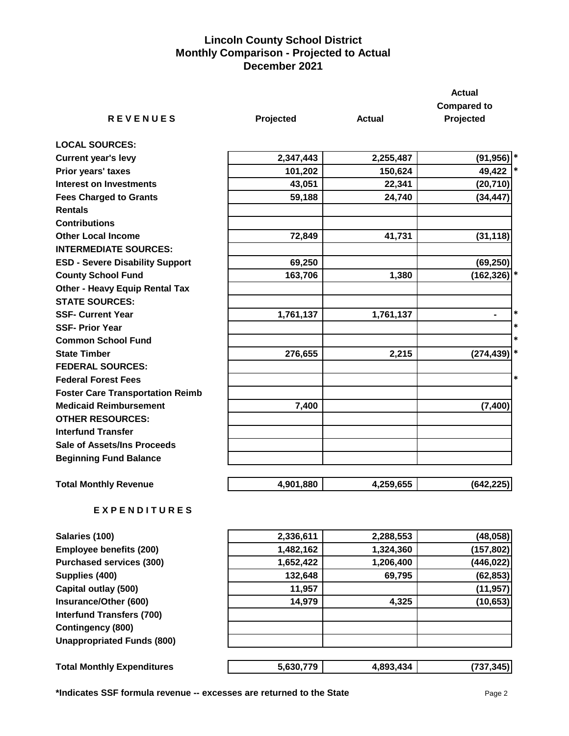## **Lincoln County School District Monthly Comparison - Projected to Actual December 2021**

|                                         |           |           | <b>Actual</b>        |
|-----------------------------------------|-----------|-----------|----------------------|
|                                         |           |           | <b>Compared to</b>   |
| <b>REVENUES</b>                         | Projected | Actual    | Projected            |
| <b>LOCAL SOURCES:</b>                   |           |           |                      |
| <b>Current year's levy</b>              | 2,347,443 | 2,255,487 | $(91, 956)$ *        |
| Prior years' taxes                      | 101,202   | 150,624   | 49,422<br>$\ast$     |
| <b>Interest on Investments</b>          | 43,051    | 22,341    | (20, 710)            |
| <b>Fees Charged to Grants</b>           | 59,188    | 24,740    | (34, 447)            |
| <b>Rentals</b>                          |           |           |                      |
| <b>Contributions</b>                    |           |           |                      |
| <b>Other Local Income</b>               | 72,849    | 41,731    | (31, 118)            |
| <b>INTERMEDIATE SOURCES:</b>            |           |           |                      |
| <b>ESD - Severe Disability Support</b>  | 69,250    |           | (69, 250)            |
| <b>County School Fund</b>               | 163,706   | 1,380     | (162, 326)           |
| <b>Other - Heavy Equip Rental Tax</b>   |           |           |                      |
| <b>STATE SOURCES:</b>                   |           |           |                      |
| <b>SSF- Current Year</b>                | 1,761,137 | 1,761,137 | *<br>$\blacksquare$  |
| <b>SSF- Prior Year</b>                  |           |           | *                    |
| <b>Common School Fund</b>               |           |           | *                    |
| <b>State Timber</b>                     | 276,655   | 2,215     | $\ast$<br>(274, 439) |
| <b>FEDERAL SOURCES:</b>                 |           |           |                      |
| <b>Federal Forest Fees</b>              |           |           | *                    |
| <b>Foster Care Transportation Reimb</b> |           |           |                      |
| <b>Medicaid Reimbursement</b>           | 7,400     |           | (7, 400)             |
| <b>OTHER RESOURCES:</b>                 |           |           |                      |
| <b>Interfund Transfer</b>               |           |           |                      |
| <b>Sale of Assets/Ins Proceeds</b>      |           |           |                      |
| <b>Beginning Fund Balance</b>           |           |           |                      |
| <b>Total Monthly Revenue</b>            | 4,901,880 | 4,259,655 | (642, 225)           |
| EXPENDITURES                            |           |           |                      |

| 2,336,611 | 2,288,553 | (48,058)   |
|-----------|-----------|------------|
| 1,482,162 | 1,324,360 | (157, 802) |
| 1,652,422 | 1,206,400 | (446,022)  |
| 132,648   | 69,795    | (62, 853)  |
| 11,957    |           | (11, 957)  |
| 14,979    | 4,325     | (10, 653)  |
|           |           |            |
|           |           |            |
|           |           |            |
|           |           | (737, 345) |
|           | 5,630,779 | 4,893,434  |

**\*Indicates SSF formula revenue -- excesses are returned to the State** Page 2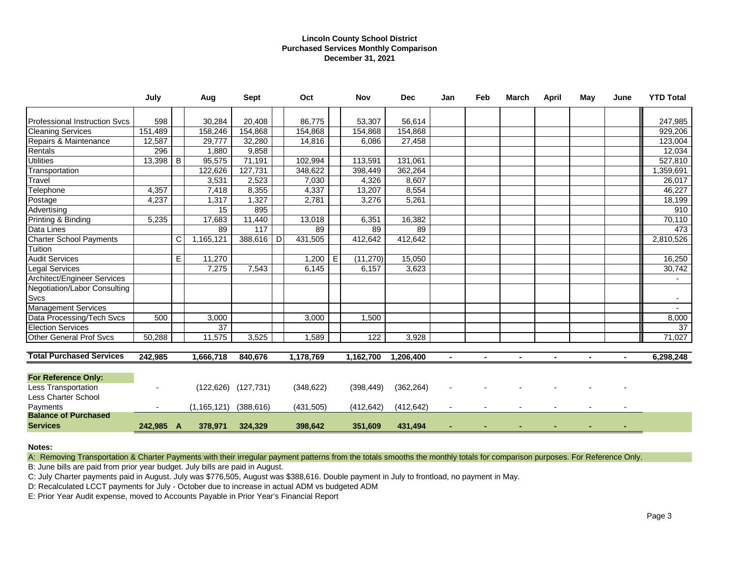### **Lincoln County School District Purchased Services Monthly Comparison December 31, 2021**

|                                                    | July      |    | Aug           | <b>Sept</b>               |   | Oct        |   | Nov        | <b>Dec</b> | Jan | Feb | <b>March</b>   | April | May | June | <b>YTD Total</b> |
|----------------------------------------------------|-----------|----|---------------|---------------------------|---|------------|---|------------|------------|-----|-----|----------------|-------|-----|------|------------------|
| <b>Professional Instruction Svcs</b>               | 598       |    | 30,284        | 20,408                    |   | 86,775     |   | 53,307     | 56,614     |     |     |                |       |     |      | 247,985          |
| <b>Cleaning Services</b>                           | 151,489   |    | 158,246       | 154,868                   |   | 154,868    |   | 154,868    | 154,868    |     |     |                |       |     |      | 929,206          |
| Repairs & Maintenance                              | 12,587    |    | 29,777        | 32,280                    |   | 14,816     |   | 6,086      | 27,458     |     |     |                |       |     |      | 123,004          |
| Rentals                                            | 296       |    | 1,880         | 9,858                     |   |            |   |            |            |     |     |                |       |     |      | 12,034           |
| <b>Utilities</b>                                   | 13,398    | B  | 95,575        | 71,191                    |   | 102,994    |   | 113,591    | 131,061    |     |     |                |       |     |      | 527,810          |
| Transportation                                     |           |    | 122,626       | 127,731                   |   | 348,622    |   | 398,449    | 362,264    |     |     |                |       |     |      | 1,359,691        |
| Travel                                             |           |    | 3,531         | 2,523                     |   | 7,030      |   | 4,326      | 8,607      |     |     |                |       |     |      | 26,017           |
| Telephone                                          | 4,357     |    | 7,418         | 8,355                     |   | 4,337      |   | 13,207     | 8,554      |     |     |                |       |     |      | 46,227           |
| Postage                                            | 4,237     |    | 1,317         | 1,327                     |   | 2,781      |   | 3,276      | 5,261      |     |     |                |       |     |      | 18,199           |
| Advertising                                        |           |    | 15            | 895                       |   |            |   |            |            |     |     |                |       |     |      | 910              |
| Printing & Binding                                 | 5,235     |    | 17,683        | 11,440                    |   | 13,018     |   | 6,351      | 16,382     |     |     |                |       |     |      | 70,110           |
| Data Lines                                         |           |    | 89            | 117                       |   | 89         |   | 89         | 89         |     |     |                |       |     |      | 473              |
| <b>Charter School Payments</b>                     |           | C  | 1,165,121     | 388,616                   | D | 431,505    |   | 412,642    | 412,642    |     |     |                |       |     |      | 2,810,526        |
| Tuition                                            |           |    |               |                           |   |            |   |            |            |     |     |                |       |     |      |                  |
| <b>Audit Services</b>                              |           | E. | 11,270        |                           |   | 1,200      | Е | (11, 270)  | 15,050     |     |     |                |       |     |      | 16,250           |
| <b>Legal Services</b>                              |           |    | 7,275         | 7,543                     |   | 6,145      |   | 6,157      | 3,623      |     |     |                |       |     |      | 30,742           |
| <b>Architect/Engineer Services</b>                 |           |    |               |                           |   |            |   |            |            |     |     |                |       |     |      |                  |
| <b>Negotiation/Labor Consulting</b><br><b>Svcs</b> |           |    |               |                           |   |            |   |            |            |     |     |                |       |     |      |                  |
| <b>Management Services</b>                         |           |    |               |                           |   |            |   |            |            |     |     |                |       |     |      |                  |
| Data Processing/Tech Svcs                          | 500       |    | 3,000         |                           |   | 3,000      |   | 1,500      |            |     |     |                |       |     |      | 8,000            |
| <b>Election Services</b>                           |           |    | 37            |                           |   |            |   |            |            |     |     |                |       |     |      | $\overline{37}$  |
| <b>Other General Prof Svcs</b>                     | 50,288    |    | 11,575        | 3,525                     |   | 1,589      |   | 122        | 3,928      |     |     |                |       |     |      | 71,027           |
| <b>Total Purchased Services</b>                    | 242,985   |    | 1,666,718     | 840,676                   |   | 1,178,769  |   | 1,162,700  | 1,206,400  |     |     | $\blacksquare$ |       |     |      | 6,298,248        |
|                                                    |           |    |               |                           |   |            |   |            |            |     |     |                |       |     |      |                  |
| <b>For Reference Only:</b>                         |           |    |               |                           |   |            |   |            |            |     |     |                |       |     |      |                  |
| Less Transportation                                |           |    |               | $(122, 626)$ $(127, 731)$ |   | (348, 622) |   | (398, 449) | (362, 264) |     |     |                |       |     |      |                  |
| Less Charter School                                |           |    |               |                           |   |            |   |            |            |     |     |                |       |     |      |                  |
| Payments                                           |           |    | (1, 165, 121) | (388, 616)                |   | (431, 505) |   | (412, 642) | (412, 642) |     |     |                |       |     |      |                  |
| <b>Balance of Purchased</b><br><b>Services</b>     | 242,985 A |    | 378,971       | 324,329                   |   | 398,642    |   | 351,609    | 431,494    |     |     |                |       |     |      |                  |
|                                                    |           |    |               |                           |   |            |   |            |            |     |     |                |       |     |      |                  |

**Notes:**

A: Removing Transportation & Charter Payments with their irregular payment patterns from the totals smooths the monthly totals for comparison purposes. For Reference Only.

B: June bills are paid from prior year budget. July bills are paid in August.

C: July Charter payments paid in August. July was \$776,505, August was \$388,616. Double payment in July to frontload, no payment in May.

D: Recalculated LCCT payments for July - October due to increase in actual ADM vs budgeted ADM

E: Prior Year Audit expense, moved to Accounts Payable in Prior Year's Financial Report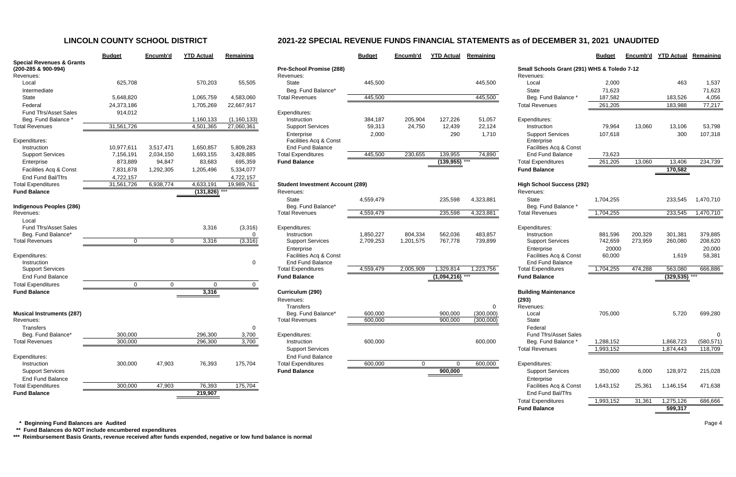|                                                             | <b>Budget</b> | Encumb'd  | <b>YTD Actual</b> | Remaining     |                           |
|-------------------------------------------------------------|---------------|-----------|-------------------|---------------|---------------------------|
| <b>Special Revenues &amp; Grants</b><br>(200-285 & 900-994) |               |           |                   |               | <b>Pre-School Promise</b> |
| Revenues:                                                   |               |           |                   |               | Revenues:                 |
| Local                                                       | 625,708       |           | 570,203           | 55,505        | <b>State</b>              |
| Intermediate                                                |               |           |                   |               | Beg. Fund Balance         |
| <b>State</b>                                                | 5,648,820     |           | 1,065,759         | 4,583,060     | <b>Total Revenues</b>     |
| Federal                                                     | 24,373,186    |           | 1,705,269         | 22,667,917    |                           |
| <b>Fund Tfrs/Asset Sales</b>                                | 914,012       |           |                   |               | Expenditures:             |
| Beg. Fund Balance *                                         |               |           | 1,160,133         | (1, 160, 133) | Instruction               |
| <b>Total Revenues</b>                                       | 31,561,726    |           | 4,501,365         | 27,060,361    | <b>Support Services</b>   |
|                                                             |               |           |                   |               | Enterprise                |
| Expenditures:                                               |               |           |                   |               | Facilities Acq & Co       |
| Instruction                                                 | 10,977,611    | 3,517,471 | 1,650,857         | 5,809,283     | <b>End Fund Balance</b>   |
| <b>Support Services</b>                                     | 7,156,191     | 2,034,150 | 1,693,155         | 3,428,885     | <b>Total Expenditures</b> |
| Enterprise                                                  | 873,889       | 94,847    | 83,683            | 695,359       | <b>Fund Balance</b>       |
| Facilities Acq & Const                                      | 7,831,878     | 1,292,305 | 1,205,496         | 5,334,077     |                           |
| End Fund Bal/Tfrs                                           | 4,722,157     |           |                   | 4,722,157     |                           |
| <b>Total Expenditures</b>                                   | 31,561,726    | 6,938,774 | 4,633,191         | 19,989,761    | Student Investment /      |
| <b>Fund Balance</b>                                         |               |           | (131, 826)        |               | Revenues:                 |
|                                                             |               |           |                   |               | <b>State</b>              |
| <b>Indigenous Peoples (286)</b>                             |               |           |                   |               | Beg. Fund Balance         |
| Revenues:                                                   |               |           |                   |               | <b>Total Revenues</b>     |
| Local                                                       |               |           |                   |               |                           |
| <b>Fund Tfrs/Asset Sales</b>                                |               |           | 3,316             | (3,316)       | Expenditures:             |
| Beg. Fund Balance*                                          |               |           |                   | 0             | Instruction               |
| <b>Total Revenues</b>                                       | $\Omega$      | $\Omega$  | 3,316             | (3, 316)      | <b>Support Services</b>   |
|                                                             |               |           |                   |               | Enterprise                |
| Expenditures:                                               |               |           |                   |               | Facilities Acq & Co       |
| Instruction                                                 |               |           |                   | 0             | <b>End Fund Balance</b>   |
| <b>Support Services</b>                                     |               |           |                   |               | <b>Total Expenditures</b> |
| <b>End Fund Balance</b>                                     |               |           |                   |               | <b>Fund Balance</b>       |
| <b>Total Expenditures</b>                                   | $\mathbf 0$   | 0         | $\mathbf 0$       | 0             |                           |
| <b>Fund Balance</b>                                         |               |           | 3,316             |               | Curriculum (290)          |
|                                                             |               |           |                   |               | Revenues:                 |
|                                                             |               |           |                   |               | <b>Transfers</b>          |
| <b>Musical Instruments (287)</b>                            |               |           |                   |               | Beg. Fund Balance         |
| Revenues:                                                   |               |           |                   |               | <b>Total Revenues</b>     |
| Transfers                                                   |               |           |                   | 0             |                           |
| Beg. Fund Balance*                                          | 300,000       |           | 296,300           | 3,700         | Expenditures:             |
| <b>Total Revenues</b>                                       | 300,000       |           | 296,300           | 3,700         | Instruction               |
|                                                             |               |           |                   |               | <b>Support Services</b>   |
| Expenditures:                                               |               |           |                   |               | <b>End Fund Balance</b>   |
| Instruction                                                 | 300,000       | 47,903    | 76,393            | 175,704       | <b>Total Expenditures</b> |
| <b>Support Services</b>                                     |               |           |                   |               | <b>Fund Balance</b>       |
| <b>End Fund Balance</b>                                     |               |           |                   |               |                           |
| <b>Total Expenditures</b>                                   | 300,000       | 47,903    | 76,393            | 175,704       |                           |
| <b>Fund Balance</b>                                         |               |           | 219.907           |               |                           |

|                                                             | <b>Budget</b>  | Encumb'd       | <b>YTD Actual</b> | Remaining     |                                         | <b>Budget</b> | Encumb'd     | <b>YTD Actual</b> | Remaining |                                             | <b>Budget</b> | Encumb'd | <b>YTD Actual</b> | <b>Remaining</b> |
|-------------------------------------------------------------|----------------|----------------|-------------------|---------------|-----------------------------------------|---------------|--------------|-------------------|-----------|---------------------------------------------|---------------|----------|-------------------|------------------|
| <b>Special Revenues &amp; Grants</b><br>(200-285 & 900-994) |                |                |                   |               | Pre-School Promise (288)                |               |              |                   |           | Small Schools Grant (291) WHS & Toledo 7-12 |               |          |                   |                  |
| Revenues:                                                   |                |                |                   |               | Revenues:                               |               |              |                   |           | Revenues:                                   |               |          |                   |                  |
| Local                                                       | 625,708        |                | 570,203           | 55,505        | State                                   | 445,500       |              |                   | 445,500   | Local                                       | 2,000         |          | 463               | 1,537            |
| Intermediate                                                |                |                |                   |               | Beg. Fund Balance*                      |               |              |                   |           | State                                       | 71,623        |          |                   | 71,623           |
| State                                                       | 5,648,820      |                | 1,065,759         | 4,583,060     | <b>Total Revenues</b>                   | 445,500       |              |                   | 445,500   | Beg. Fund Balance                           | 187,582       |          | 183,526           | 4,056            |
| Federal                                                     | 24,373,186     |                | 1,705,269         | 22,667,917    |                                         |               |              |                   |           | <b>Total Revenues</b>                       | 261,205       |          | 183,988           | 77,217           |
| Fund Tfrs/Asset Sales                                       | 914,012        |                |                   |               | Expenditures:                           |               |              |                   |           |                                             |               |          |                   |                  |
| Beg. Fund Balance                                           |                |                | 1,160,133         | (1, 160, 133) | Instruction                             | 384,187       | 205,904      | 127,226           | 51,057    | Expenditures:                               |               |          |                   |                  |
| <b>Total Revenues</b>                                       | 31,561,726     |                | 4,501,365         | 27,060,361    | <b>Support Services</b>                 | 59,313        | 24,750       | 12,439            | 22,124    | Instruction                                 | 79,964        | 13,060   | 13,106            | 53,798           |
|                                                             |                |                |                   |               | Enterprise                              | 2,000         |              | 290               | 1,710     | <b>Support Services</b>                     | 107,618       |          | 300               | 107,318          |
| Expenditures:                                               |                |                |                   |               | Facilities Acq & Const                  |               |              |                   |           | Enterprise                                  |               |          |                   |                  |
| Instruction                                                 | 10,977,611     | 3,517,471      | 1,650,857         | 5,809,283     | <b>End Fund Balance</b>                 |               |              |                   |           | Facilities Acq & Const                      |               |          |                   |                  |
| <b>Support Services</b>                                     | 7,156,191      | 2,034,150      | 1,693,155         | 3,428,885     | <b>Total Expenditures</b>               | 445,500       | 230,655      | 139,955           | 74,890    | <b>End Fund Balance</b>                     | 73,623        |          |                   |                  |
| Enterprise                                                  | 873,889        | 94,847         | 83,683            | 695,359       | <b>Fund Balance</b>                     |               |              | $(139,955)$ ***   |           | <b>Total Expenditures</b>                   | 261,205       | 13,060   | 13,406            | 234,739          |
| Facilities Acq & Const                                      | 7,831,878      | 1,292,305      | 1,205,496         | 5,334,077     |                                         |               |              |                   |           | <b>Fund Balance</b>                         |               |          | 170,582           |                  |
| End Fund Bal/Tfrs                                           | 4,722,157      |                |                   | 4,722,157     |                                         |               |              |                   |           |                                             |               |          |                   |                  |
| <b>Total Expenditures</b>                                   | 31,561,726     | 6,938,774      | 4,633,191         | 19,989,761    | <b>Student Investment Account (289)</b> |               |              |                   |           | <b>High School Success (292)</b>            |               |          |                   |                  |
| <b>Fund Balance</b>                                         |                |                | (131, 826)        |               | Revenues:                               |               |              |                   |           | Revenues:                                   |               |          |                   |                  |
|                                                             |                |                |                   |               | <b>State</b>                            | 4,559,479     |              | 235,598           | 4,323,881 | State                                       | 1,704,255     |          | 233,545           | 1,470,710        |
| <b>Indigenous Peoples (286)</b>                             |                |                |                   |               | Beg. Fund Balance*                      |               |              |                   |           | Beg. Fund Balance '                         |               |          |                   |                  |
| Revenues:                                                   |                |                |                   |               | <b>Total Revenues</b>                   | 4,559,479     |              | 235,598           | 4,323,881 | <b>Total Revenues</b>                       | 1,704,255     |          | 233,545           | 1,470,710        |
| Local                                                       |                |                |                   |               |                                         |               |              |                   |           |                                             |               |          |                   |                  |
| Fund Tfrs/Asset Sales                                       |                |                | 3,316             | (3,316)       | Expenditures:                           |               |              |                   |           | Expenditures:                               |               |          |                   |                  |
| Beg. Fund Balance*                                          |                |                |                   | $\Omega$      | Instruction                             | 1,850,227     | 804,334      | 562,036           | 483,857   | Instruction                                 | 881,596       | 200,329  | 301,381           | 379,885          |
| <b>Total Revenues</b>                                       | $\Omega$       | $\overline{0}$ | 3,316             | (3,316)       | <b>Support Services</b>                 | 2,709,253     | 1,201,575    | 767,778           | 739,899   | <b>Support Services</b>                     | 742,659       | 273,959  | 260,080           | 208,620          |
|                                                             |                |                |                   |               | Enterprise                              |               |              |                   |           | Enterprise                                  | 20000         |          |                   | 20,000           |
| Expenditures:                                               |                |                |                   |               | Facilities Acq & Const                  |               |              |                   |           | Facilities Acq & Const                      | 60,000        |          | 1,619             | 58,381           |
| Instruction                                                 |                |                |                   | $\mathbf 0$   | <b>End Fund Balance</b>                 |               |              |                   |           | <b>End Fund Balance</b>                     |               |          |                   |                  |
| <b>Support Services</b>                                     |                |                |                   |               | <b>Total Expenditures</b>               | 4,559,479     | 2,005,909    | 1,329,814         | 1,223,756 | <b>Total Expenditures</b>                   | 1,704,255     | 474,288  | 563,080           | 666,886          |
| <b>End Fund Balance</b>                                     |                |                |                   |               | <b>Fund Balance</b>                     |               |              | $(1,094,216)$ *** |           | <b>Fund Balance</b>                         |               |          | (329, 535)        |                  |
| <b>Total Expenditures</b>                                   | $\overline{0}$ | $\overline{0}$ | $\Omega$          | 0             |                                         |               |              |                   |           |                                             |               |          |                   |                  |
| <b>Fund Balance</b>                                         |                |                | 3,316             |               | Curriculum (290)                        |               |              |                   |           | <b>Building Maintenance</b>                 |               |          |                   |                  |
|                                                             |                |                |                   |               | Revenues:                               |               |              |                   |           | (293)                                       |               |          |                   |                  |
|                                                             |                |                |                   |               | <b>Transfers</b>                        |               |              |                   | $\Omega$  | Revenues:                                   |               |          |                   |                  |
| <b>Musical Instruments (287)</b>                            |                |                |                   |               | Beg. Fund Balance*                      | 600,000       |              | 900,000           | (300,000) | Local                                       | 705,000       |          | 5,720             | 699,280          |
| Revenues:                                                   |                |                |                   |               | <b>Total Revenues</b>                   | 600,000       |              | 900,000           | (300,000) | State                                       |               |          |                   |                  |
| Transfers                                                   |                |                |                   | $\mathbf 0$   |                                         |               |              |                   |           | Federal                                     |               |          |                   |                  |
| Beg. Fund Balance*                                          | 300,000        |                | 296,300           | 3,700         | Expenditures:                           |               |              |                   |           | Fund Tfrs/Asset Sales                       |               |          |                   | 0                |
| <b>Total Revenues</b>                                       | 300,000        |                | 296,300           | 3,700         | Instruction                             | 600,000       |              |                   | 600,000   | Beg. Fund Balance *                         | 1,288,152     |          | 1,868,723         | (580, 571)       |
|                                                             |                |                |                   |               | <b>Support Services</b>                 |               |              |                   |           | <b>Total Revenues</b>                       | 1,993,152     |          | 1,874,443         | 118,709          |
| Expenditures:                                               |                |                |                   |               | End Fund Balance                        |               |              |                   |           |                                             |               |          |                   |                  |
| Instruction                                                 | 300,000        | 47,903         | 76,393            | 175,704       | <b>Total Expenditures</b>               | 600,000       | $\mathbf{0}$ | - ೧               | 600,000   | Expenditures:                               |               |          |                   |                  |
| <b>Support Services</b>                                     |                |                |                   |               | <b>Fund Balance</b>                     |               |              | 900,000           |           | <b>Support Services</b>                     | 350,000       | 6,000    | 128,972           | 215,028          |
| <b>End Fund Balance</b>                                     |                |                |                   |               |                                         |               |              |                   |           | Enterprise                                  |               |          |                   |                  |
| <b>Total Expenditures</b>                                   | 300,000        | 47,903         | 76,393            | 175,704       |                                         |               |              |                   |           | Facilities Acq & Const                      | 1,643,152     | 25,361   | 1,146,154         | 471,638          |
| <b>Fund Balance</b>                                         |                |                | 219,907           |               |                                         |               |              |                   |           | End Fund Bal/Tfrs                           |               |          |                   |                  |
|                                                             |                |                |                   |               |                                         |               |              |                   |           | <b>Total Expenditures</b>                   | 1,993,152     | 31,361   | 1,275,126         | 686,666          |
|                                                             |                |                |                   |               |                                         |               |              |                   |           | <b>Fund Balance</b>                         |               |          | 599,317           |                  |

 **\* Beginning Fund Balances are Audited** Page 4

 **\*\* Fund Balances do NOT include encumbered expenditures**

**\*\*\* Reimbursement Basis Grants, revenue received after funds expended, negative or low fund balance is normal**

# **LINCOLN COUNTY SCHOOL DISTRICT 2021-22 SPECIAL REVENUE FUNDS FINANCIAL STATEMENTS as of DECEMBER 31, 2021 UNAUDITED**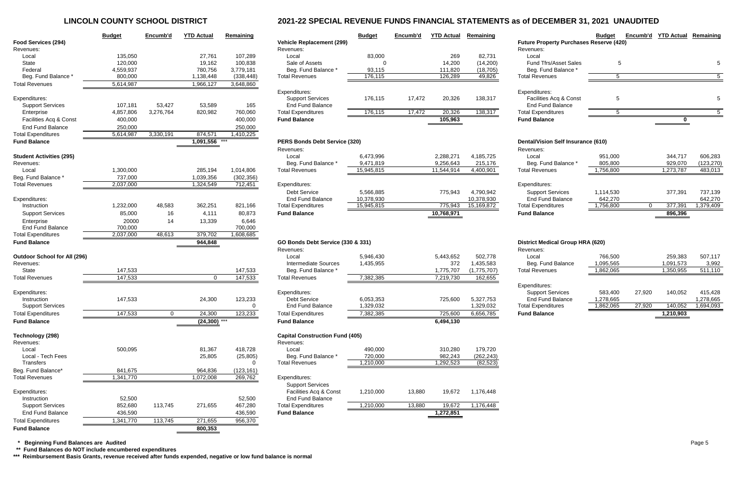# **LINCOLN COUNTY SCHOOL DISTRICT 2021-22 SPECIAL REVENUE FUNDS FINANCIAL STATEMENTS as of DECEMBER 31, 2021 UNAUDITED**

|                                     | <b>Budget</b> | Encumb'd       | <b>YTD Actual</b> | Remaining   |                                        | <b>Budget</b> | Encumb'd | <b>YTD Actual</b> | Remaining   |                                                | <b>Budget</b> | Encumb'd | <b>YTD Actual</b> | Remaining  |
|-------------------------------------|---------------|----------------|-------------------|-------------|----------------------------------------|---------------|----------|-------------------|-------------|------------------------------------------------|---------------|----------|-------------------|------------|
| Food Services (294)                 |               |                |                   |             | <b>Vehicle Replacement (299)</b>       |               |          |                   |             | <b>Future Property Purchases Reserve (420)</b> |               |          |                   |            |
| Revenues:                           |               |                |                   |             | Revenues:                              |               |          |                   |             | Revenues:                                      |               |          |                   |            |
| Local                               | 135,050       |                | 27,761            | 107,289     | Local                                  | 83,000        |          | 269               | 82,731      | Local                                          |               |          |                   |            |
| State                               | 120,000       |                | 19,162            | 100,838     | Sale of Assets                         |               |          | 14,200            | (14,200)    | <b>Fund Tfrs/Asset Sales</b>                   | 5             |          |                   |            |
| Federal                             | 4,559,937     |                | 780,756           | 3,779,181   | Beg. Fund Balance *                    | 93,115        |          | 111,820           | (18, 705)   | Beg. Fund Balance                              |               |          |                   |            |
| Beg. Fund Balance                   | 800,000       |                | 1,138,448         | (338, 448)  | <b>Total Revenues</b>                  | 176,115       |          | 126,289           | 49,826      | <b>Total Revenues</b>                          | 5             |          |                   |            |
| <b>Total Revenues</b>               | 5,614,987     |                | 1,966,127         | 3,648,860   |                                        |               |          |                   |             |                                                |               |          |                   |            |
|                                     |               |                |                   |             | Expenditures:                          |               |          |                   |             | Expenditures:                                  |               |          |                   |            |
| Expenditures:                       |               |                |                   |             | <b>Support Services</b>                | 176,115       | 17,472   | 20,326            | 138,317     | Facilities Acq & Const                         | 5             |          |                   |            |
| <b>Support Services</b>             | 107,181       | 53,427         | 53,589            | 165         | <b>End Fund Balance</b>                |               |          |                   |             | <b>End Fund Balance</b>                        |               |          |                   |            |
| Enterprise                          | 4,857,806     | 3,276,764      | 820,982           | 760,060     | <b>Total Expenditures</b>              | 176,115       | 17,472   | 20,326            | 138,317     | <b>Total Expenditures</b>                      | -5            |          |                   | 5          |
| Facilities Acq & Const              | 400,000       |                |                   | 400,000     | <b>Fund Balance</b>                    |               |          | 105,963           |             | <b>Fund Balance</b>                            |               |          |                   |            |
| <b>End Fund Balance</b>             | 250,000       |                |                   | 250,000     |                                        |               |          |                   |             |                                                |               |          |                   |            |
| <b>Total Expenditures</b>           | 5,614,987     | 3,330,191      | 874,571           | 1,410,225   |                                        |               |          |                   |             |                                                |               |          |                   |            |
| <b>Fund Balance</b>                 |               |                | $1,091,556$ ***   |             | <b>PERS Bonds Debt Service (320)</b>   |               |          |                   |             | Dental/Vision Self Insurance (610)             |               |          |                   |            |
|                                     |               |                |                   |             | Revenues:                              |               |          |                   |             | Revenues:                                      |               |          |                   |            |
| <b>Student Activities (295)</b>     |               |                |                   |             | Local                                  | 6,473,996     |          | 2,288,271         | 4,185,725   | Local                                          | 951,000       |          | 344,717           | 606,283    |
| Revenues:                           |               |                |                   |             | Beg. Fund Balance *                    | 9,471,819     |          | 9,256,643         | 215,176     | Beg. Fund Balance *                            | 805,800       |          | 929,070           | (123, 270) |
| Local                               | 1,300,000     |                | 285,194           | 1,014,806   | <b>Total Revenues</b>                  | 15,945,815    |          | 11,544,914        | 4,400,901   | <b>Total Revenues</b>                          | 1,756,800     |          | 1,273,787         | 483,013    |
|                                     |               |                |                   |             |                                        |               |          |                   |             |                                                |               |          |                   |            |
| Beg. Fund Balance                   | 737,000       |                | 1,039,356         | (302, 356)  |                                        |               |          |                   |             |                                                |               |          |                   |            |
| <b>Total Revenues</b>               | 2,037,000     |                | 1,324,549         | 712,451     | Expenditures:                          |               |          |                   |             | Expenditures:                                  |               |          |                   |            |
|                                     |               |                |                   |             | <b>Debt Service</b>                    | 5,566,885     |          | 775,943           | 4,790,942   | <b>Support Services</b>                        | 1,114,530     |          | 377,391           | 737,139    |
| Expenditures:                       |               |                |                   |             | <b>End Fund Balance</b>                | 10,378,930    |          |                   | 10,378,930  | <b>End Fund Balance</b>                        | 642,270       |          |                   | 642,270    |
| Instruction                         | 1,232,000     | 48,583         | 362,251           | 821,166     | <b>Total Expenditures</b>              | 15,945,815    |          | 775,943           | 15,169,872  | <b>Total Expenditures</b>                      | 1,756,800     | $\Omega$ | 377,391           | 1,379,409  |
| <b>Support Services</b>             | 85,000        | 16             | 4,111             | 80,873      | <b>Fund Balance</b>                    |               |          | 10,768,971        |             | <b>Fund Balance</b>                            |               |          | 896,396           |            |
| Enterprise                          | 20000         | 14             | 13,339            | 6,646       |                                        |               |          |                   |             |                                                |               |          |                   |            |
| <b>End Fund Balance</b>             | 700,000       |                |                   | 700,000     |                                        |               |          |                   |             |                                                |               |          |                   |            |
| <b>Total Expenditures</b>           | 2,037,000     | 48,613         | 379,702           | 1,608,685   |                                        |               |          |                   |             |                                                |               |          |                   |            |
| <b>Fund Balance</b>                 |               |                | 944,848           |             | GO Bonds Debt Service (330 & 331)      |               |          |                   |             | <b>District Medical Group HRA (620)</b>        |               |          |                   |            |
|                                     |               |                |                   |             | Revenues:                              |               |          |                   |             | Revenues:                                      |               |          |                   |            |
| <b>Outdoor School for All (296)</b> |               |                |                   |             | Local                                  | 5,946,430     |          | 5,443,652         | 502,778     | Local                                          | 766,500       |          | 259,383           | 507,117    |
| Revenues:                           |               |                |                   |             | <b>Intermediate Sources</b>            | 1,435,955     |          | 372               | 1,435,583   | Beg. Fund Balance                              | 1,095,565     |          | 1,091,573         | 3,992      |
| State                               | 147,533       |                |                   | 147,533     | Beg. Fund Balance *                    |               |          | 1,775,707         | (1,775,707) | <b>Total Revenues</b>                          | 1,862,065     |          | 1,350,955         | 511,110    |
| <b>Total Revenues</b>               | 147,533       |                | $\overline{0}$    | 147,533     | <b>Total Revenues</b>                  | 7,382,385     |          | 7,219,730         | 162,655     |                                                |               |          |                   |            |
|                                     |               |                |                   |             |                                        |               |          |                   |             | Expenditures:                                  |               |          |                   |            |
| Expenditures:                       |               |                |                   |             | Expenditures:                          |               |          |                   |             | <b>Support Services</b>                        | 583,400       | 27,920   | 140,052           | 415,428    |
| Instruction                         | 147,533       |                | 24,300            | 123,233     | Debt Service                           | 6,053,353     |          | 725,600           | 5,327,753   | <b>End Fund Balance</b>                        | 1,278,665     |          |                   | 1,278,665  |
| <b>Support Services</b>             |               |                |                   | 0           | <b>End Fund Balance</b>                | 1,329,032     |          |                   | 1,329,032   | <b>Total Expenditures</b>                      | 1,862,065     | 27,920   | 140,052           | 1,694,093  |
| <b>Total Expenditures</b>           | 147,533       | $\overline{0}$ | 24,300            | 123,233     | <b>Total Expenditures</b>              | 7,382,385     |          | 725,600           | 6,656,785   | <b>Fund Balance</b>                            |               |          | 1,210,903         |            |
| <b>Fund Balance</b>                 |               |                | $(24,300)$ ***    |             | <b>Fund Balance</b>                    |               |          | 6,494,130         |             |                                                |               |          |                   |            |
|                                     |               |                |                   |             |                                        |               |          |                   |             |                                                |               |          |                   |            |
| Technology (298)                    |               |                |                   |             | <b>Capital Construction Fund (405)</b> |               |          |                   |             |                                                |               |          |                   |            |
| Revenues:                           |               |                |                   |             | Revenues:                              |               |          |                   |             |                                                |               |          |                   |            |
| Local                               | 500,095       |                | 81,367            | 418,728     | Local                                  | 490,000       |          | 310,280           | 179,720     |                                                |               |          |                   |            |
| Local - Tech Fees                   |               |                | 25,805            | (25, 805)   | Beg. Fund Balance *                    | 720,000       |          | 982,243           | (262, 243)  |                                                |               |          |                   |            |
| Transfers                           |               |                |                   | $\mathbf 0$ | <b>Total Revenues</b>                  | 1,210,000     |          | 1,292,523         | (82, 523)   |                                                |               |          |                   |            |
| Beg. Fund Balance*                  | 841,675       |                | 964,836           | (123, 161)  |                                        |               |          |                   |             |                                                |               |          |                   |            |
| <b>Total Revenues</b>               | 1,341,770     |                | 1,072,008         | 269,762     | Expenditures:                          |               |          |                   |             |                                                |               |          |                   |            |
|                                     |               |                |                   |             | <b>Support Services</b>                |               |          |                   |             |                                                |               |          |                   |            |
| Expenditures:                       |               |                |                   |             | Facilities Acq & Const                 | 1,210,000     | 13,880   | 19,672            | 1,176,448   |                                                |               |          |                   |            |
| Instruction                         | 52,500        |                |                   | 52,500      | <b>End Fund Balance</b>                |               |          |                   |             |                                                |               |          |                   |            |
| <b>Support Services</b>             | 852,680       | 113,745        | 271,655           | 467,280     | <b>Total Expenditures</b>              | 1,210,000     | 13,880   | 19,672            | 1,176,448   |                                                |               |          |                   |            |
| End Fund Bold                       | 126 E00       |                |                   | 126 E00     | Eund Delenes                           |               |          | 1.272051          |             |                                                |               |          |                   |            |

|                                     | <b>Budget</b> | Encumb'd  | <b>YTD Actual</b> | Remaining  |                                        | <b>Budget</b> | Encumb'd | <b>YTD Actual</b> | Remaining   |
|-------------------------------------|---------------|-----------|-------------------|------------|----------------------------------------|---------------|----------|-------------------|-------------|
| Food Services (294)                 |               |           |                   |            | <b>Vehicle Replacement (299)</b>       |               |          |                   |             |
| Revenues:                           |               |           |                   |            | Revenues:                              |               |          |                   |             |
| Local                               | 135,050       |           | 27,761            | 107,289    | Local                                  | 83,000        |          | 269               | 82,731      |
| <b>State</b>                        | 120,000       |           | 19,162            | 100,838    | Sale of Assets                         | 0             |          | 14,200            | (14,200)    |
| Federal                             | 4,559,937     |           | 780,756           | 3,779,181  | Beg. Fund Balance *                    | 93,115        |          | 111,820           | (18, 705)   |
| Beg. Fund Balance *                 | 800,000       |           | 1,138,448         | (338, 448) | <b>Total Revenues</b>                  | 176,115       |          | 126,289           | 49,826      |
| <b>Total Revenues</b>               | 5,614,987     |           | 1,966,127         | 3,648,860  |                                        |               |          |                   |             |
|                                     |               |           |                   |            | Expenditures:                          |               |          |                   |             |
| Expenditures:                       |               |           |                   |            | <b>Support Services</b>                | 176,115       | 17,472   | 20,326            | 138,317     |
| <b>Support Services</b>             | 107,181       | 53,427    | 53,589            | 165        | <b>End Fund Balance</b>                |               |          |                   |             |
| Enterprise                          | 4,857,806     | 3,276,764 | 820,982           | 760,060    | <b>Total Expenditures</b>              | 176,115       | 17,472   | 20,326            | 138,317     |
| Facilities Acq & Const              | 400,000       |           |                   | 400,000    | <b>Fund Balance</b>                    |               |          | 105,963           |             |
| <b>End Fund Balance</b>             |               |           |                   |            |                                        |               |          |                   |             |
|                                     | 250,000       |           |                   | 250,000    |                                        |               |          |                   |             |
| <b>Total Expenditures</b>           | 5,614,987     | 3,330,191 | 874,571           | 1,410,225  |                                        |               |          |                   |             |
| <b>Fund Balance</b>                 |               |           | 1,091,556         |            | PERS Bonds Debt Service (320)          |               |          |                   |             |
|                                     |               |           |                   |            | Revenues:                              |               |          |                   |             |
| <b>Student Activities (295)</b>     |               |           |                   |            | Local                                  | 6,473,996     |          | 2,288,271         | 4,185,725   |
| Revenues:                           |               |           |                   |            | Beg. Fund Balance *                    | 9,471,819     |          | 9,256,643         | 215,176     |
| Local                               | 1,300,000     |           | 285,194           | 1,014,806  | <b>Total Revenues</b>                  | 15,945,815    |          | 11,544,914        | 4,400,901   |
| Beg. Fund Balance *                 | 737,000       |           | 1,039,356         | (302, 356) |                                        |               |          |                   |             |
| <b>Total Revenues</b>               | 2,037,000     |           | 1,324,549         | 712,451    | Expenditures:                          |               |          |                   |             |
|                                     |               |           |                   |            | <b>Debt Service</b>                    | 5,566,885     |          | 775,943           | 4,790,942   |
| Expenditures:                       |               |           |                   |            | <b>End Fund Balance</b>                | 10,378,930    |          |                   | 10,378,930  |
| Instruction                         | 1,232,000     | 48,583    | 362,251           | 821,166    | <b>Total Expenditures</b>              | 15,945,815    |          | 775,943           | 15,169,872  |
| <b>Support Services</b>             | 85,000        | 16        | 4,111             | 80,873     | <b>Fund Balance</b>                    |               |          | 10,768,971        |             |
| Enterprise                          | 20000         | 14        |                   | 6,646      |                                        |               |          |                   |             |
| <b>End Fund Balance</b>             | 700,000       |           | 13,339            | 700,000    |                                        |               |          |                   |             |
|                                     |               |           | 379,702           |            |                                        |               |          |                   |             |
| <b>Total Expenditures</b>           | 2,037,000     | 48,613    |                   | 1,608,685  |                                        |               |          |                   |             |
| <b>Fund Balance</b>                 |               |           | 944,848           |            | GO Bonds Debt Service (330 & 331)      |               |          |                   |             |
|                                     |               |           |                   |            | Revenues:                              |               |          |                   |             |
| <b>Outdoor School for All (296)</b> |               |           |                   |            | Local                                  | 5,946,430     |          | 5,443,652         | 502,778     |
| Revenues:                           |               |           |                   |            | <b>Intermediate Sources</b>            | 1,435,955     |          | 372               | 1,435,583   |
| <b>State</b>                        | 147,533       |           |                   | 147,533    | Beg. Fund Balance *                    |               |          | 1,775,707         | (1,775,707) |
| <b>Total Revenues</b>               | 147,533       |           | $\mathbf 0$       | 147,533    | <b>Total Revenues</b>                  | 7,382,385     |          | 7,219,730         | 162,655     |
| Expenditures:                       |               |           |                   |            | Expenditures:                          |               |          |                   |             |
| Instruction                         | 147,533       |           | 24,300            | 123,233    | Debt Service                           | 6,053,353     |          | 725,600           | 5,327,753   |
| <b>Support Services</b>             |               |           |                   | 0          | <b>End Fund Balance</b>                | 1,329,032     |          |                   | 1,329,032   |
| <b>Total Expenditures</b>           | 147,533       |           | 24,300            |            | <b>Total Expenditures</b>              |               |          | 725,600           | 6,656,785   |
|                                     |               | 0         |                   | 123,233    |                                        | 7,382,385     |          |                   |             |
| <b>Fund Balance</b>                 |               |           | $(24,300)$ ***    |            | <b>Fund Balance</b>                    |               |          | 6,494,130         |             |
| Technology (298)                    |               |           |                   |            | <b>Capital Construction Fund (405)</b> |               |          |                   |             |
| Revenues:                           |               |           |                   |            | Revenues:                              |               |          |                   |             |
| Local                               | 500,095       |           | 81,367            | 418,728    | Local                                  | 490,000       |          | 310,280           | 179,720     |
| Local - Tech Fees                   |               |           | 25,805            | (25, 805)  | Beg. Fund Balance *                    | 720,000       |          | 982,243           | (262, 243)  |
| Transfers                           |               |           |                   | 0          | <b>Total Revenues</b>                  | 1,210,000     |          | 1,292,523         | (82, 523)   |
| Beg. Fund Balance*                  | 841,675       |           | 964,836           | (123, 161) |                                        |               |          |                   |             |
| <b>Total Revenues</b>               | 1,341,770     |           | 1,072,008         | 269,762    | Expenditures:                          |               |          |                   |             |
|                                     |               |           |                   |            |                                        |               |          |                   |             |
|                                     |               |           |                   |            | <b>Support Services</b>                |               |          |                   |             |
| Expenditures:                       |               |           |                   |            | Facilities Acq & Const                 | 1,210,000     | 13,880   | 19,672            | 1,176,448   |
| Instruction                         | 52,500        |           |                   | 52,500     | <b>End Fund Balance</b>                |               |          |                   |             |
| <b>Support Services</b>             | 852,680       | 113,745   | 271,655           | 467,280    | <b>Total Expenditures</b>              | 1,210,000     | 13,880   | 19,672            | 1,176,448   |
| <b>End Fund Balance</b>             | 436,590       |           |                   | 436,590    | <b>Fund Balance</b>                    |               |          | 1,272,851         |             |
| <b>Total Expenditures</b>           | 1,341,770     | 113,745   | 271,655           | 956,370    |                                        |               |          |                   |             |
| <b>Fund Balance</b>                 |               |           | 800,353           |            |                                        |               |          |                   |             |

 **\* Beginning Fund Balances are Audited** Page 5

 **\*\* Fund Balances do NOT include encumbered expenditures**

**\*\*\* Reimbursement Basis Grants, revenue received after funds expended, negative or low fund balance is normal**

|                                 | Budget | Encumb'd YTD Actual Remaining |  |
|---------------------------------|--------|-------------------------------|--|
| roperty Purchases Reserve (420) |        |                               |  |
| s.                              |        |                               |  |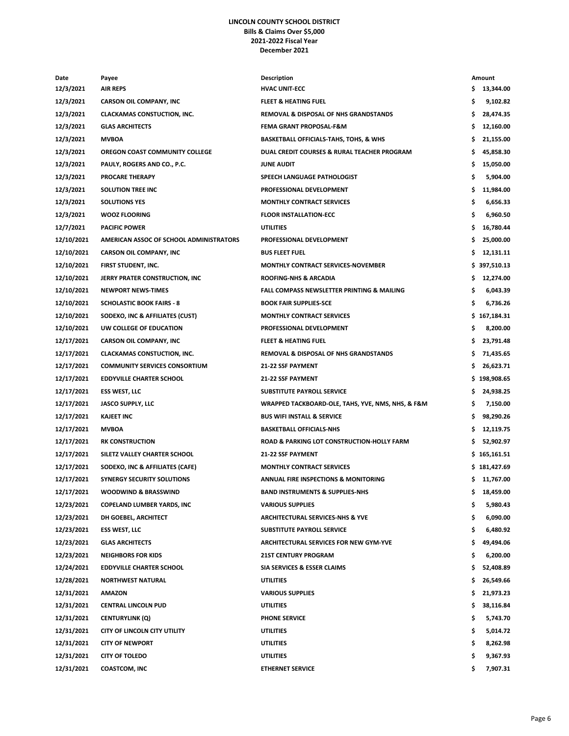### **LINCOLN COUNTY SCHOOL DISTRICT Bills & Claims Over \$5,000 2021-2022 Fiscal Year December 2021**

| Date                     | Payee                                   | <b>Description</b>                                |     | Amount       |
|--------------------------|-----------------------------------------|---------------------------------------------------|-----|--------------|
| 12/3/2021                | <b>AIR REPS</b>                         | <b>HVAC UNIT-ECC</b>                              | S.  | 13,344.00    |
| 12/3/2021                | <b>CARSON OIL COMPANY, INC</b>          | <b>FLEET &amp; HEATING FUEL</b>                   | \$  | 9,102.82     |
| 12/3/2021                | <b>CLACKAMAS CONSTUCTION, INC.</b>      | REMOVAL & DISPOSAL OF NHS GRANDSTANDS             | \$  | 28,474.35    |
| 12/3/2021                | <b>GLAS ARCHITECTS</b>                  | <b>FEMA GRANT PROPOSAL-F&amp;M</b>                | \$  | 12,160.00    |
| 12/3/2021                | <b>MVBOA</b>                            | <b>BASKETBALL OFFICIALS-TAHS, TOHS, &amp; WHS</b> | \$  | 21,155.00    |
| 12/3/2021                | OREGON COAST COMMUNITY COLLEGE          | DUAL CREDIT COURSES & RURAL TEACHER PROGRAM       | \$  | 45,858.30    |
| 12/3/2021                | PAULY, ROGERS AND CO., P.C.             | <b>JUNE AUDIT</b>                                 | \$  | 15,050.00    |
| 12/3/2021                | <b>PROCARE THERAPY</b>                  | SPEECH LANGUAGE PATHOLOGIST                       | \$  | 5,904.00     |
| 12/3/2021                | <b>SOLUTION TREE INC</b>                | PROFESSIONAL DEVELOPMENT                          | \$  | 11,984.00    |
| 12/3/2021                | <b>SOLUTIONS YES</b>                    | <b>MONTHLY CONTRACT SERVICES</b>                  | \$  | 6,656.33     |
| 12/3/2021                | <b>WOOZ FLOORING</b>                    | <b>FLOOR INSTALLATION-ECC</b>                     | \$  | 6,960.50     |
| 12/7/2021                | <b>PACIFIC POWER</b>                    | <b>UTILITIES</b>                                  | \$  | 16,780.44    |
| 12/10/2021               | AMERICAN ASSOC OF SCHOOL ADMINISTRATORS | PROFESSIONAL DEVELOPMENT                          | \$  | 25,000.00    |
| 12/10/2021               | <b>CARSON OIL COMPANY, INC</b>          | <b>BUS FLEET FUEL</b>                             |     | 12,131.11    |
| 12/10/2021               | FIRST STUDENT, INC.                     | <b>MONTHLY CONTRACT SERVICES-NOVEMBER</b>         |     | \$397,510.13 |
|                          |                                         | <b>ROOFING-NHS &amp; ARCADIA</b>                  |     |              |
| 12/10/2021               | JERRY PRATER CONSTRUCTION, INC.         |                                                   | \$  | 12,274.00    |
| 12/10/2021               | <b>NEWPORT NEWS-TIMES</b>               | FALL COMPASS NEWSLETTER PRINTING & MAILING        | \$  | 6,043.39     |
| 12/10/2021               | <b>SCHOLASTIC BOOK FAIRS - 8</b>        | <b>BOOK FAIR SUPPLIES-SCE</b>                     | \$  | 6,736.26     |
| 12/10/2021               | SODEXO, INC & AFFILIATES (CUST)         | <b>MONTHLY CONTRACT SERVICES</b>                  |     | \$167,184.31 |
| 12/10/2021               | UW COLLEGE OF EDUCATION                 | PROFESSIONAL DEVELOPMENT                          | \$  | 8,200.00     |
| 12/17/2021               | <b>CARSON OIL COMPANY, INC</b>          | <b>FLEET &amp; HEATING FUEL</b>                   | \$  | 23,791.48    |
| 12/17/2021               | <b>CLACKAMAS CONSTUCTION, INC.</b>      | <b>REMOVAL &amp; DISPOSAL OF NHS GRANDSTANDS</b>  | \$  | 71,435.65    |
| 12/17/2021               | <b>COMMUNITY SERVICES CONSORTIUM</b>    | 21-22 SSF PAYMENT                                 | \$  | 26,623.71    |
| 12/17/2021               | <b>EDDYVILLE CHARTER SCHOOL</b>         | <b>21-22 SSF PAYMENT</b>                          |     | \$198,908.65 |
| 12/17/2021               | <b>ESS WEST, LLC</b>                    | SUBSTITUTE PAYROLL SERVICE                        | \$  | 24,938.25    |
| 12/17/2021               | JASCO SUPPLY, LLC                       | WRAPPED TACKBOARD-OLE, TAHS, YVE, NMS, NHS, & F&M | \$  | 7,150.00     |
| 12/17/2021               | <b>KAJEET INC</b>                       | <b>BUS WIFI INSTALL &amp; SERVICE</b>             | \$  | 98,290.26    |
| 12/17/2021               | <b>MVBOA</b>                            | <b>BASKETBALL OFFICIALS-NHS</b>                   | \$  | 12,119.75    |
| 12/17/2021               | <b>RK CONSTRUCTION</b>                  | ROAD & PARKING LOT CONSTRUCTION-HOLLY FARM        | \$  | 52,902.97    |
| 12/17/2021               | SILETZ VALLEY CHARTER SCHOOL            | 21-22 SSF PAYMENT                                 |     | \$165,161.51 |
| 12/17/2021               | SODEXO, INC & AFFILIATES (CAFE)         | MONTHLY CONTRACT SERVICES                         |     | \$181,427.69 |
| 12/17/2021               | <b>SYNERGY SECURITY SOLUTIONS</b>       | ANNUAL FIRE INSPECTIONS & MONITORING              | \$. | 11,767.00    |
| 12/17/2021               | <b>WOODWIND &amp; BRASSWIND</b>         | <b>BAND INSTRUMENTS &amp; SUPPLIES-NHS</b>        | Ş   | 18,459.00    |
| 12/23/2021               | <b>COPELAND LUMBER YARDS, INC</b>       | <b>VARIOUS SUPPLIES</b>                           | \$  | 5,980.43     |
| 12/23/2021               | DH GOEBEL, ARCHITECT                    | ARCHITECTURAL SERVICES-NHS & YVE                  | \$  | 6,090.00     |
| 12/23/2021               | <b>ESS WEST, LLC</b>                    | SUBSTITUTE PAYROLL SERVICE                        | \$  | 6,480.92     |
| 12/23/2021               | <b>GLAS ARCHITECTS</b>                  | ARCHITECTURAL SERVICES FOR NEW GYM-YVE            | \$  | 49,494.06    |
| 12/23/2021               | <b>NEIGHBORS FOR KIDS</b>               | <b>21ST CENTURY PROGRAM</b>                       | \$  | 6,200.00     |
| 12/24/2021               | <b>EDDYVILLE CHARTER SCHOOL</b>         | SIA SERVICES & ESSER CLAIMS                       | Ş.  | 52,408.89    |
| 12/28/2021               | <b>NORTHWEST NATURAL</b>                | UTILITIES                                         | \$  | 26,549.66    |
| 12/31/2021               | <b>AMAZON</b>                           | <b>VARIOUS SUPPLIES</b>                           | \$  | 21,973.23    |
|                          | <b>CENTRAL LINCOLN PUD</b>              | <b>UTILITIES</b>                                  |     |              |
| 12/31/2021<br>12/31/2021 |                                         | <b>PHONE SERVICE</b>                              | \$  | 38,116.84    |
|                          | <b>CENTURYLINK (Q)</b>                  |                                                   | \$  | 5,743.70     |
| 12/31/2021               | CITY OF LINCOLN CITY UTILITY            | <b>UTILITIES</b>                                  | \$  | 5,014.72     |
| 12/31/2021               | <b>CITY OF NEWPORT</b>                  | <b>UTILITIES</b>                                  | \$  | 8,262.98     |
| 12/31/2021               | <b>CITY OF TOLEDO</b>                   | UTILITIES                                         | \$  | 9,367.93     |
| 12/31/2021               | <b>COASTCOM, INC</b>                    | <b>ETHERNET SERVICE</b>                           | \$  | 7,907.31     |